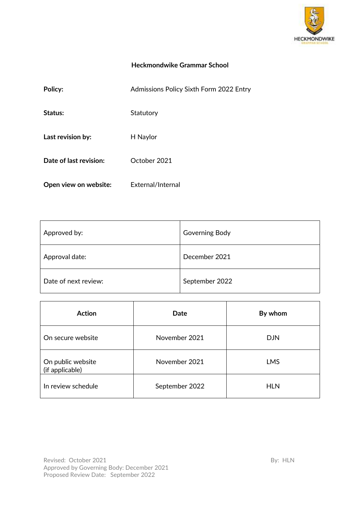

# **Heckmondwike Grammar School**

| Policy:                | Admissions Policy Sixth Form 2022 Entry |
|------------------------|-----------------------------------------|
| Status:                | Statutory                               |
| Last revision by:      | H Naylor                                |
| Date of last revision: | October 2021                            |
| Open view on website:  | External/Internal                       |

| Approved by:         | Governing Body |
|----------------------|----------------|
| Approval date:       | December 2021  |
| Date of next review: | September 2022 |

| <b>Action</b>                        | Date           | By whom    |
|--------------------------------------|----------------|------------|
| On secure website                    | November 2021  | <b>DJN</b> |
| On public website<br>(if applicable) | November 2021  | <b>LMS</b> |
| In review schedule                   | September 2022 | <b>HLN</b> |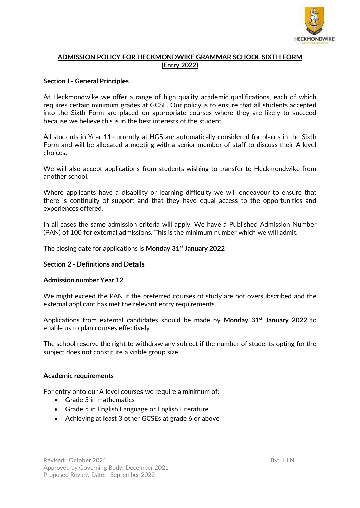

# **ADMISSION POLICY FOR HECKMONDWIKE GRAMMAR SCHOOL SIXTH FORM (Entry 2022)**

## **Section I - General Principles**

At Heckmondwike we offer a range of high quality academic qualifications, each of which requires certain minimum grades at GCSE. Our policy is to ensure that all students accepted into the Sixth Form are placed on appropriate courses where they are likely to succeed because we believe this is in the best interests of the student.

All students in Year 11 currently at HGS are automatically considered for places in the Sixth Form and will be allocated a meeting with a senior member of staff to discuss their A level choices.

We will also accept applications from students wishing to transfer to Heckmondwike from another school.

Where applicants have a disability or learning difficulty we will endeavour to ensure that there is continuity of support and that they have equal access to the opportunities and experiences offered.

In all cases the same admission criteria will apply. We have a Published Admission Number (PAN) of 100 for external admissions. This is the minimum number which we will admit.

The closing date for applications is **Monday 31st January 2022**

### **Section 2 - Definitions and Details**

#### **Admission number Year 12**

We might exceed the PAN if the preferred courses of study are not oversubscribed and the external applicant has met the relevant entry requirements.

Applications from external candidates should be made by **Monday 31st January 2022** to enable us to plan courses effectively.

The school reserve the right to withdraw any subject if the number of students opting for the subject does not constitute a viable group size.

#### **Academic requirements**

For entry onto our A level courses we require a minimum of:

- Grade 5 in mathematics
- Grade 5 in English Language or English Literature
- Achieving at least 3 other GCSEs at grade 6 or above